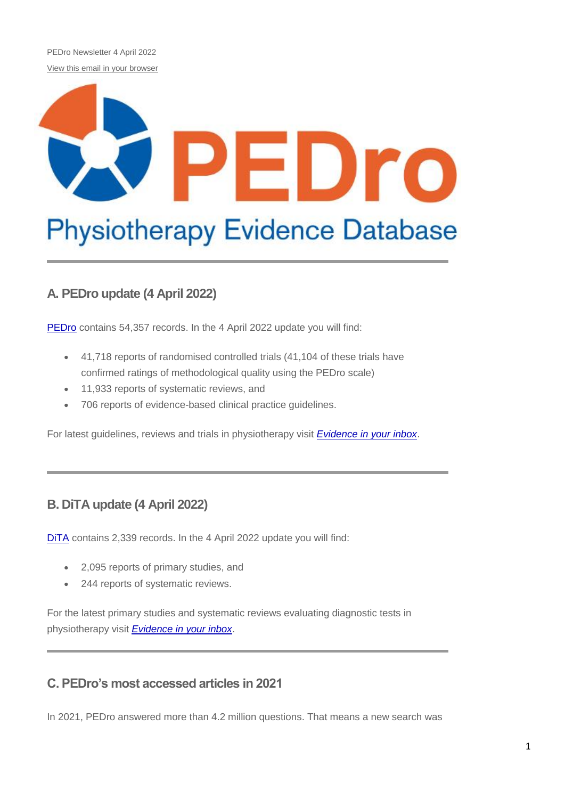PEDro Newsletter 4 April 2022 [View this email in your browser](https://us11.campaign-archive.com/?e=%5bUNIQID%5d&u=73dab3f8d5cca1a3fb365053a&id=c1c4c38373)

# ۳ Dro **Physiotherapy Evidence Database**

# **A. PEDro update (4 April 2022)**

[PEDro](http://pedro.org.au/) contains 54,357 records. In the 4 April 2022 update you will find:

- 41,718 reports of randomised controlled trials (41,104 of these trials have confirmed ratings of methodological quality using the PEDro scale)
- 11,933 reports of systematic reviews, and
- 706 reports of evidence-based clinical practice guidelines.

For latest guidelines, reviews and trials in physiotherapy visit *[Evidence in your inbox](https://pedro.org.au/english/browse/evidence-in-your-inbox)*.

# **B. DiTA update (4 April 2022)**

[DiTA](http://dita.org.au/) contains 2,339 records. In the 4 April 2022 update you will find:

- 2,095 reports of primary studies, and
- 244 reports of systematic reviews.

For the latest primary studies and systematic reviews evaluating diagnostic tests in physiotherapy visit *[Evidence in your inbox](https://dita.org.au/browse/evidence-in-your-inbox/)*.

# **C. PEDro's most accessed articles in 2021**

In 2021, PEDro answered more than 4.2 million questions. That means a new search was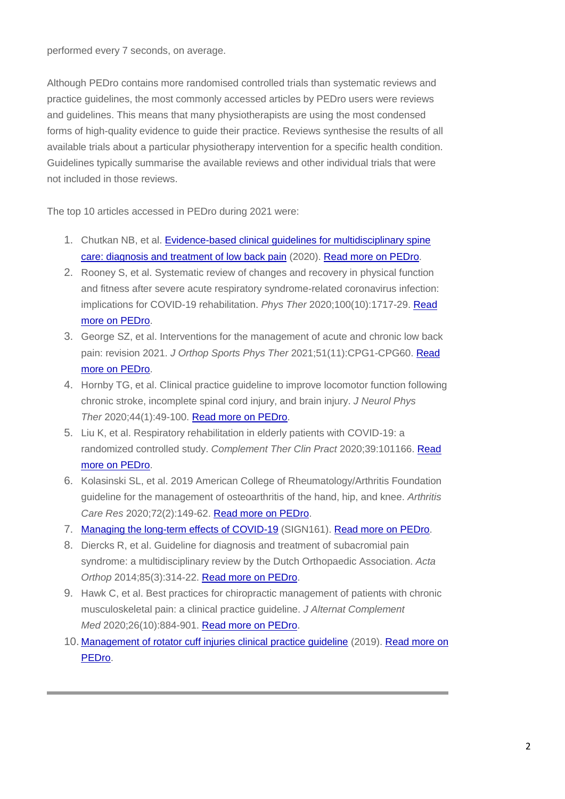performed every 7 seconds, on average.

Although PEDro contains more randomised controlled trials than systematic reviews and practice guidelines, the most commonly accessed articles by PEDro users were reviews and guidelines. This means that many physiotherapists are using the most condensed forms of high-quality evidence to guide their practice. Reviews synthesise the results of all available trials about a particular physiotherapy intervention for a specific health condition. Guidelines typically summarise the available reviews and other individual trials that were not included in those reviews.

The top 10 articles accessed in PEDro during 2021 were:

- 1. Chutkan NB, et al. [Evidence-based clinical guidelines for multidisciplinary spine](https://www.spine.org/Portals/0/assets/downloads/ResearchClinicalCare/Guidelines/LowBackPain.pdf)  [care: diagnosis and treatment of low back pain](https://www.spine.org/Portals/0/assets/downloads/ResearchClinicalCare/Guidelines/LowBackPain.pdf) (2020). [Read more on PEDro.](https://search.pedro.org.au/search-results/record-detail/59872)
- 2. Rooney S, et al. Systematic review of changes and recovery in physical function and fitness after severe acute respiratory syndrome-related coronavirus infection: implications for COVID-19 rehabilitation. *Phys Ther* 2020;100(10):1717-29. [Read](https://search.pedro.org.au/search-results/record-detail/61787)  [more on PEDro.](https://search.pedro.org.au/search-results/record-detail/61787)
- 3. George SZ, et al. Interventions for the management of acute and chronic low back pain: revision 2021. *J Orthop Sports Phys Ther* 2021;51(11):CPG1-CPG60. [Read](https://search.pedro.org.au/search-results/record-detail/33377)  [more on PEDro.](https://search.pedro.org.au/search-results/record-detail/33377)
- 4. Hornby TG, et al. Clinical practice guideline to improve locomotor function following chronic stroke, incomplete spinal cord injury, and brain injury. *J Neurol Phys Ther* 2020;44(1):49-100. [Read more on PEDro.](https://search.pedro.org.au/search-results/record-detail/60103)
- 5. Liu K, et al. Respiratory rehabilitation in elderly patients with COVID-19: a randomized controlled study. *Complement Ther Clin Pract* 2020;39:101166. [Read](https://search.pedro.org.au/search-results/record-detail/61275)  [more on PEDro.](https://search.pedro.org.au/search-results/record-detail/61275)
- 6. Kolasinski SL, et al. 2019 American College of Rheumatology/Arthritis Foundation guideline for the management of osteoarthritis of the hand, hip, and knee. *Arthritis Care Res* 2020;72(2):149-62. [Read more on PEDro.](https://search.pedro.org.au/search-results/record-detail/60228)
- 7. [Managing the long-term effects of COVID-19](https://www.sign.ac.uk/media/1833/sign161-long-term-effects-of-covid19-11.pdf) (SIGN161). [Read more on PEDro.](https://search.pedro.org.au/search-results/record-detail/63697)
- 8. Diercks R, et al. Guideline for diagnosis and treatment of subacromial pain syndrome: a multidisciplinary review by the Dutch Orthopaedic Association. *Acta Orthop* 2014;85(3):314-22. [Read more on PEDro.](https://search.pedro.org.au/search-results/record-detail/40438)
- 9. Hawk C, et al. Best practices for chiropractic management of patients with chronic musculoskeletal pain: a clinical practice guideline. *J Alternat Complement Med* 2020;26(10):884-901. [Read more on PEDro.](https://search.pedro.org.au/search-results/record-detail/63021)
- 10. Management of rotator [cuff injuries clinical practice guideline](https://www.aaos.org/globalassets/quality-and-practice-resources/rotator-cuff/rotator-cuff-cpg-final-12-20-19.pdf) (2019). [Read more on](https://search.pedro.org.au/search-results/record-detail/29511)  [PEDro.](https://search.pedro.org.au/search-results/record-detail/29511)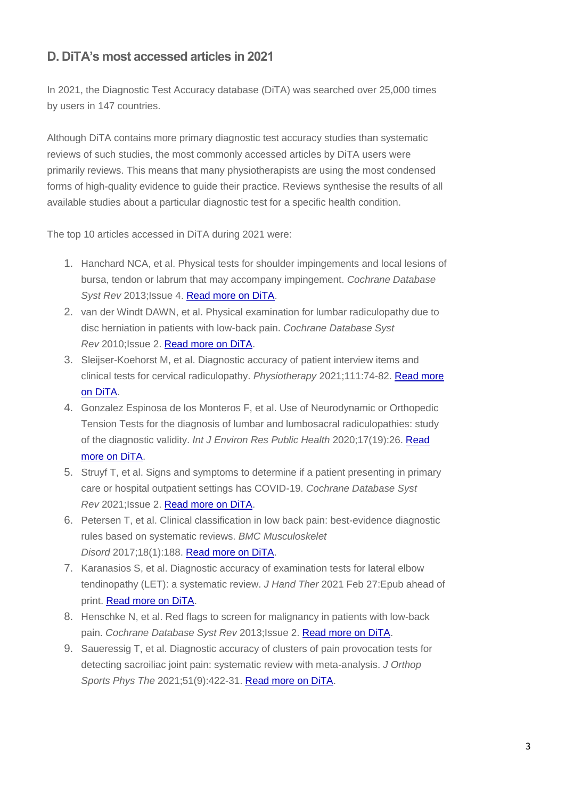# **D. DiTA's most accessed articles in 2021**

In 2021, the Diagnostic Test Accuracy database (DiTA) was searched over 25,000 times by users in 147 countries.

Although DiTA contains more primary diagnostic test accuracy studies than systematic reviews of such studies, the most commonly accessed articles by DiTA users were primarily reviews. This means that many physiotherapists are using the most condensed forms of high-quality evidence to guide their practice. Reviews synthesise the results of all available studies about a particular diagnostic test for a specific health condition.

The top 10 articles accessed in DiTA during 2021 were:

- 1. Hanchard NCA, et al. Physical tests for shoulder impingements and local lesions of bursa, tendon or labrum that may accompany impingement. *Cochrane Database Syst Rev* 2013;Issue 4. [Read more on DiTA.](https://search.dita.org.au/results/990)
- 2. van der Windt DAWN, et al. Physical examination for lumbar radiculopathy due to disc herniation in patients with low-back pain. *Cochrane Database Syst Rev* 2010;Issue 2. [Read more on DiTA.](https://search.dita.org.au/results/991)
- 3. Sleijser-Koehorst M, et al. Diagnostic accuracy of patient interview items and clinical tests for cervical radiculopathy. *Physiotherapy* 2021;111:74-82. [Read more](https://search.dita.org.au/results/1951)  [on DiTA.](https://search.dita.org.au/results/1951)
- 4. Gonzalez Espinosa de los Monteros F, et al. Use of Neurodynamic or Orthopedic Tension Tests for the diagnosis of lumbar and lumbosacral radiculopathies: study of the diagnostic validity. *Int J Environ Res Public Health* 2020;17(19):26. Read [more on DiTA.](https://search.dita.org.au/results/2052)
- 5. Struyf T, et al. Signs and symptoms to determine if a patient presenting in primary care or hospital outpatient settings has COVID-19. *Cochrane Database Syst Rev* 2021;Issue 2. [Read more on DiTA.](https://search.dita.org.au/results/1903)
- 6. Petersen T, et al. Clinical classification in low back pain: best-evidence diagnostic rules based on systematic reviews. *BMC Musculoskelet Disord* 2017;18(1):188. [Read more on DiTA.](https://search.dita.org.au/results/1913)
- 7. Karanasios S, et al. Diagnostic accuracy of examination tests for lateral elbow tendinopathy (LET): a systematic review. *J Hand Ther* 2021 Feb 27:Epub ahead of print. [Read more on DiTA.](https://search.dita.org.au/results/2146)
- 8. Henschke N, et al. Red flags to screen for malignancy in patients with low-back pain. *Cochrane Database Syst Rev* 2013;Issue 2. [Read more on DiTA.](https://search.dita.org.au/results/988)
- 9. Saueressig T, et al. Diagnostic accuracy of clusters of pain provocation tests for detecting sacroiliac joint pain: systematic review with meta-analysis. *J Orthop Sports Phys The* 2021;51(9):422-31. [Read more on DiTA.](https://search.dita.org.au/results/2207)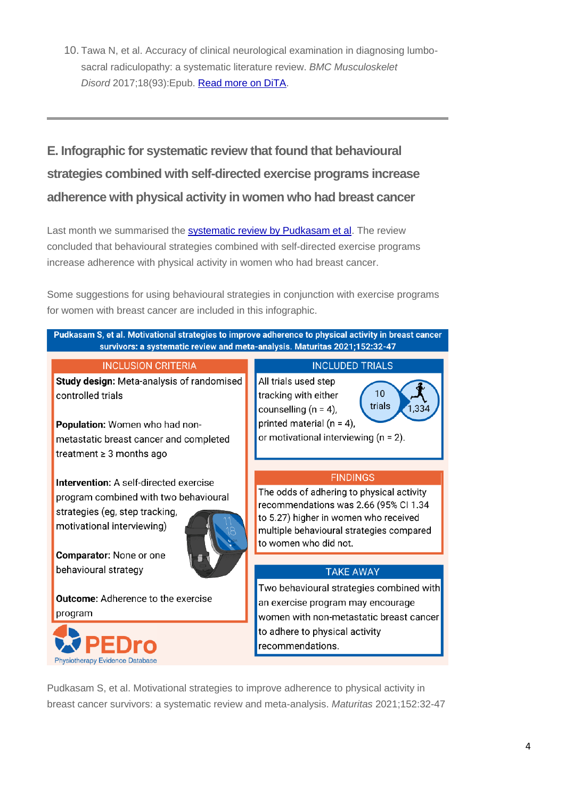10. Tawa N, et al. Accuracy of clinical neurological examination in diagnosing lumbosacral radiculopathy: a systematic literature review. *BMC Musculoskelet Disord* 2017;18(93):Epub. [Read more on DiTA.](https://search.dita.org.au/results/1185)

# **E. Infographic for systematic review that found that behavioural strategies combined with self-directed exercise programs increase adherence with physical activity in women who had breast cancer**

Last month we summarised the [systematic review by Pudkasam et al.](https://pedro.org.au/english/systematic-review-found-that-behavioural-strategies-combined-with-self-directed-exercise-programs-increase-adherence-with-physical-activity-in-women-who-had-breast-cancer/) The review concluded that behavioural strategies combined with self-directed exercise programs increase adherence with physical activity in women who had breast cancer.

Some suggestions for using behavioural strategies in conjunction with exercise programs for women with breast cancer are included in this infographic.



controlled trials

Population: Women who had nonmetastatic breast cancer and completed treatment  $\geq 3$  months ago

Intervention: A self-directed exercise program combined with two behavioural strategies (eg, step tracking,

motivational interviewing)



Comparator: None or one behavioural strategy

**Outcome:** Adherence to the exercise program



 $10<sup>1</sup>$ tracking with either trials counselling  $(n = 4)$ , printed material ( $n = 4$ ). or motivational interviewing ( $n = 2$ ).

#### **FINDINGS**

1.334

The odds of adhering to physical activity recommendations was 2.66 (95% CI 1.34 to 5.27) higher in women who received multiple behavioural strategies compared to women who did not.

#### **TAKE AWAY**

Two behavioural strategies combined with an exercise program may encourage women with non-metastatic breast cancer to adhere to physical activity recommendations.

Pudkasam S, et al. Motivational strategies to improve adherence to physical activity in breast cancer survivors: a systematic review and meta-analysis. *Maturitas* 2021;152:32-47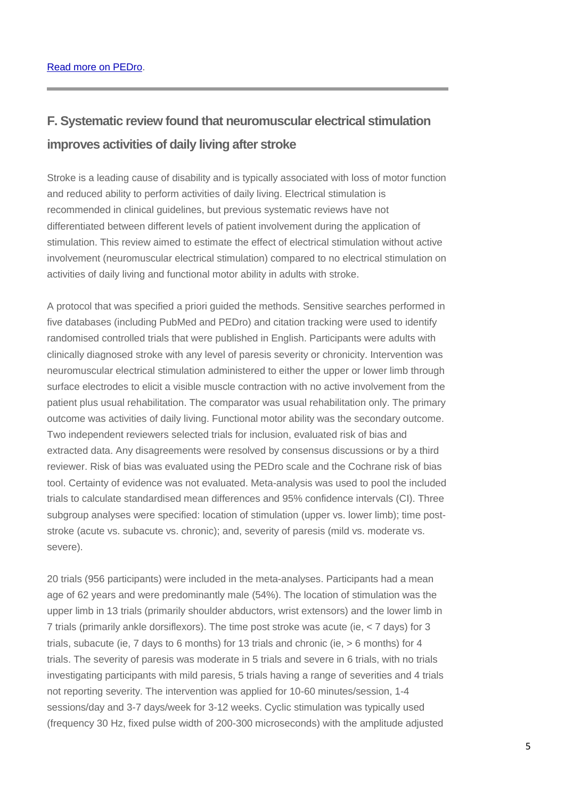# **F. Systematic review found that neuromuscular electrical stimulation improves activities of daily living after stroke**

Stroke is a leading cause of disability and is typically associated with loss of motor function and reduced ability to perform activities of daily living. Electrical stimulation is recommended in clinical guidelines, but previous systematic reviews have not differentiated between different levels of patient involvement during the application of stimulation. This review aimed to estimate the effect of electrical stimulation without active involvement (neuromuscular electrical stimulation) compared to no electrical stimulation on activities of daily living and functional motor ability in adults with stroke.

A protocol that was specified a priori guided the methods. Sensitive searches performed in five databases (including PubMed and PEDro) and citation tracking were used to identify randomised controlled trials that were published in English. Participants were adults with clinically diagnosed stroke with any level of paresis severity or chronicity. Intervention was neuromuscular electrical stimulation administered to either the upper or lower limb through surface electrodes to elicit a visible muscle contraction with no active involvement from the patient plus usual rehabilitation. The comparator was usual rehabilitation only. The primary outcome was activities of daily living. Functional motor ability was the secondary outcome. Two independent reviewers selected trials for inclusion, evaluated risk of bias and extracted data. Any disagreements were resolved by consensus discussions or by a third reviewer. Risk of bias was evaluated using the PEDro scale and the Cochrane risk of bias tool. Certainty of evidence was not evaluated. Meta-analysis was used to pool the included trials to calculate standardised mean differences and 95% confidence intervals (CI). Three subgroup analyses were specified: location of stimulation (upper vs. lower limb); time poststroke (acute vs. subacute vs. chronic); and, severity of paresis (mild vs. moderate vs. severe).

20 trials (956 participants) were included in the meta-analyses. Participants had a mean age of 62 years and were predominantly male (54%). The location of stimulation was the upper limb in 13 trials (primarily shoulder abductors, wrist extensors) and the lower limb in 7 trials (primarily ankle dorsiflexors). The time post stroke was acute (ie, < 7 days) for 3 trials, subacute (ie, 7 days to 6 months) for 13 trials and chronic (ie, > 6 months) for 4 trials. The severity of paresis was moderate in 5 trials and severe in 6 trials, with no trials investigating participants with mild paresis, 5 trials having a range of severities and 4 trials not reporting severity. The intervention was applied for 10-60 minutes/session, 1-4 sessions/day and 3-7 days/week for 3-12 weeks. Cyclic stimulation was typically used (frequency 30 Hz, fixed pulse width of 200-300 microseconds) with the amplitude adjusted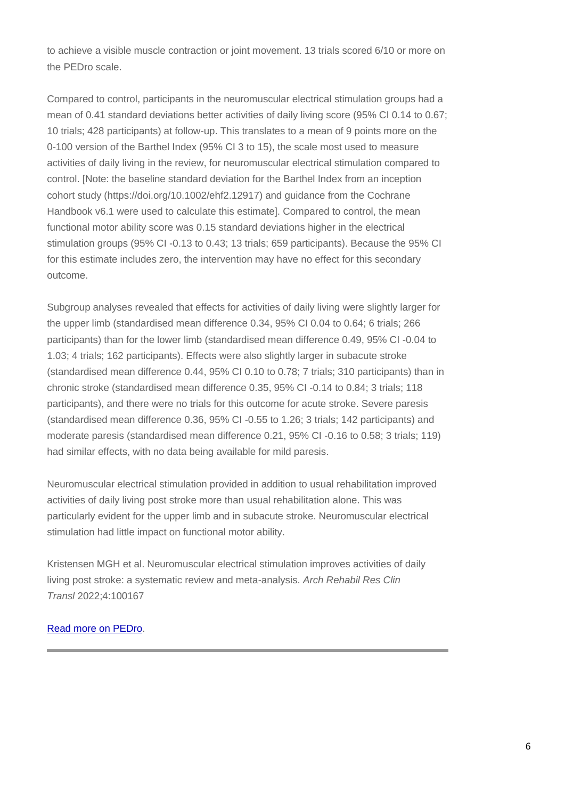to achieve a visible muscle contraction or joint movement. 13 trials scored 6/10 or more on the PEDro scale.

Compared to control, participants in the neuromuscular electrical stimulation groups had a mean of 0.41 standard deviations better activities of daily living score (95% CI 0.14 to 0.67; 10 trials; 428 participants) at follow-up. This translates to a mean of 9 points more on the 0-100 version of the Barthel Index (95% CI 3 to 15), the scale most used to measure activities of daily living in the review, for neuromuscular electrical stimulation compared to control. [Note: the baseline standard deviation for the Barthel Index from an inception cohort study (https://doi.org/10.1002/ehf2.12917) and guidance from the Cochrane Handbook v6.1 were used to calculate this estimate]. Compared to control, the mean functional motor ability score was 0.15 standard deviations higher in the electrical stimulation groups (95% CI -0.13 to 0.43; 13 trials; 659 participants). Because the 95% CI for this estimate includes zero, the intervention may have no effect for this secondary outcome.

Subgroup analyses revealed that effects for activities of daily living were slightly larger for the upper limb (standardised mean difference 0.34, 95% CI 0.04 to 0.64; 6 trials; 266 participants) than for the lower limb (standardised mean difference 0.49, 95% CI -0.04 to 1.03; 4 trials; 162 participants). Effects were also slightly larger in subacute stroke (standardised mean difference 0.44, 95% CI 0.10 to 0.78; 7 trials; 310 participants) than in chronic stroke (standardised mean difference 0.35, 95% CI -0.14 to 0.84; 3 trials; 118 participants), and there were no trials for this outcome for acute stroke. Severe paresis (standardised mean difference 0.36, 95% CI -0.55 to 1.26; 3 trials; 142 participants) and moderate paresis (standardised mean difference 0.21, 95% CI -0.16 to 0.58; 3 trials; 119) had similar effects, with no data being available for mild paresis.

Neuromuscular electrical stimulation provided in addition to usual rehabilitation improved activities of daily living post stroke more than usual rehabilitation alone. This was particularly evident for the upper limb and in subacute stroke. Neuromuscular electrical stimulation had little impact on functional motor ability.

Kristensen MGH et al. Neuromuscular electrical stimulation improves activities of daily living post stroke: a systematic review and meta-analysis. *Arch Rehabil Res Clin Transl* 2022;4:100167

[Read more on PEDro.](https://search.pedro.org.au/search-results/record-detail/68364)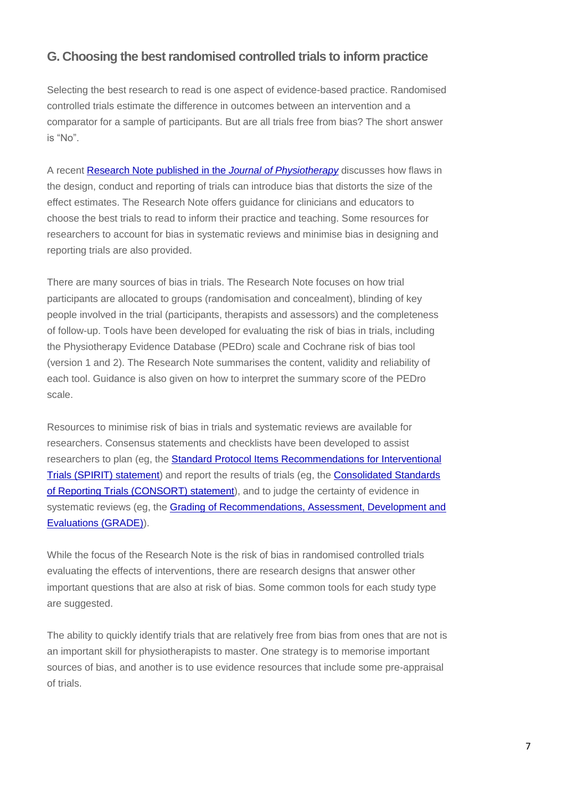## **G. Choosing the best randomised controlled trials to inform practice**

Selecting the best research to read is one aspect of evidence-based practice. Randomised controlled trials estimate the difference in outcomes between an intervention and a comparator for a sample of participants. But are all trials free from bias? The short answer is "No".

A recent [Research Note published in the](https://dx.doi.org/10.1016/j.jphys.2022.02.003) *Journal of Physiotherapy* discusses how flaws in the design, conduct and reporting of trials can introduce bias that distorts the size of the effect estimates. The Research Note offers guidance for clinicians and educators to choose the best trials to read to inform their practice and teaching. Some resources for researchers to account for bias in systematic reviews and minimise bias in designing and reporting trials are also provided.

There are many sources of bias in trials. The Research Note focuses on how trial participants are allocated to groups (randomisation and concealment), blinding of key people involved in the trial (participants, therapists and assessors) and the completeness of follow-up. Tools have been developed for evaluating the risk of bias in trials, including the Physiotherapy Evidence Database (PEDro) scale and Cochrane risk of bias tool (version 1 and 2). The Research Note summarises the content, validity and reliability of each tool. Guidance is also given on how to interpret the summary score of the PEDro scale.

Resources to minimise risk of bias in trials and systematic reviews are available for researchers. Consensus statements and checklists have been developed to assist researchers to plan (eg, the [Standard Protocol Items Recommendations for Interventional](https://www.spirit-statement.org/)  [Trials \(SPIRIT\) statement\)](https://www.spirit-statement.org/) and report the results of trials (eg, the [Consolidated Standards](http://www.consort-statement.org/)  [of Reporting Trials \(CONSORT\) statement\)](http://www.consort-statement.org/), and to judge the certainty of evidence in systematic reviews (eg, the [Grading of Recommendations, Assessment, Development and](https://www.gradeworkinggroup.org/)  [Evaluations \(GRADE\)\)](https://www.gradeworkinggroup.org/).

While the focus of the Research Note is the risk of bias in randomised controlled trials evaluating the effects of interventions, there are research designs that answer other important questions that are also at risk of bias. Some common tools for each study type are suggested.

The ability to quickly identify trials that are relatively free from bias from ones that are not is an important skill for physiotherapists to master. One strategy is to memorise important sources of bias, and another is to use evidence resources that include some pre-appraisal of trials.